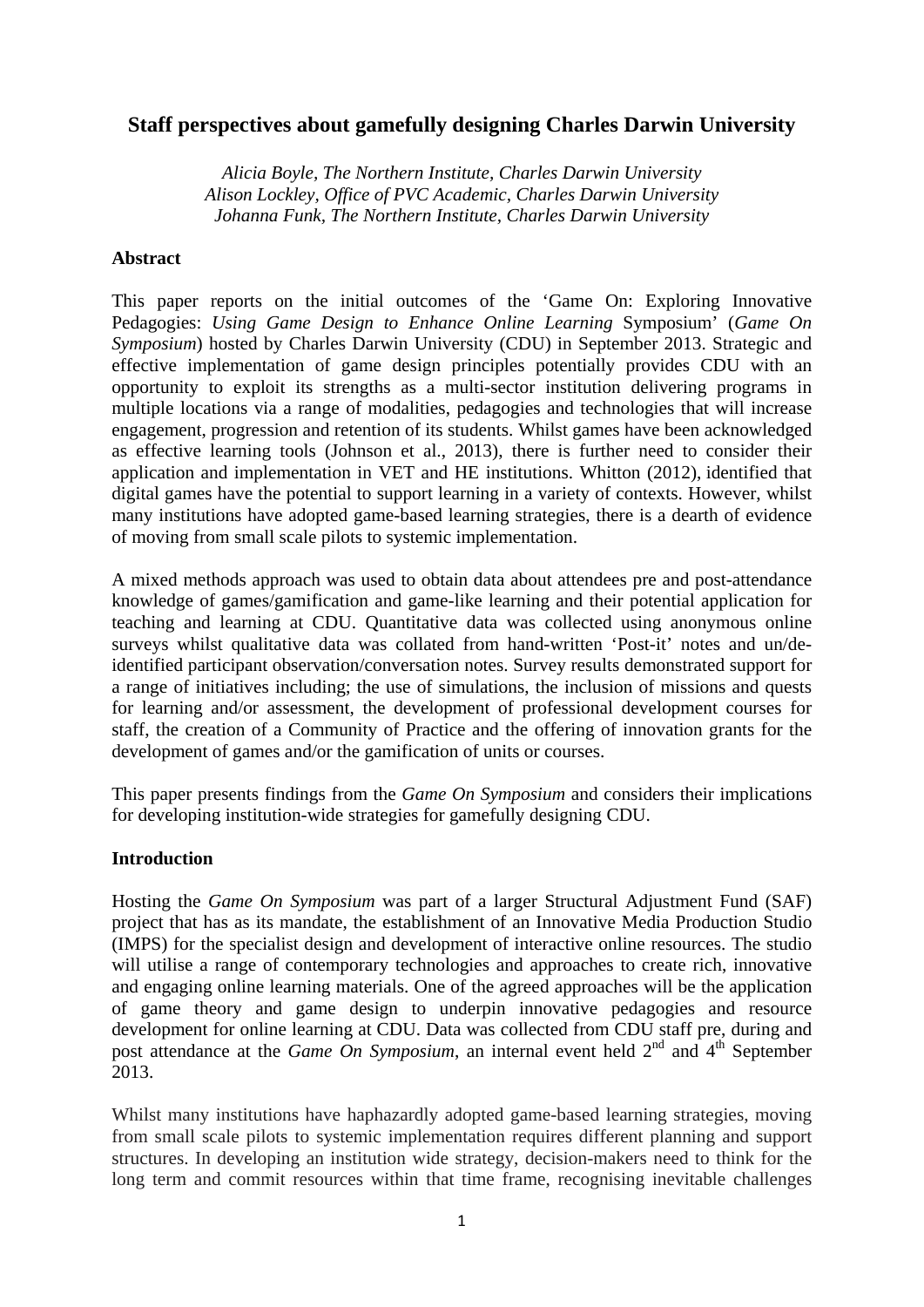# **Staff perspectives about gamefully designing Charles Darwin University**

*Alicia Boyle, The Northern Institute, Charles Darwin University Alison Lockley, Office of PVC Academic, Charles Darwin University Johanna Funk, The Northern Institute, Charles Darwin University* 

## **Abstract**

This paper reports on the initial outcomes of the 'Game On: Exploring Innovative Pedagogies: *Using Game Design to Enhance Online Learning* Symposium' (*Game On Symposium*) hosted by Charles Darwin University (CDU) in September 2013. Strategic and effective implementation of game design principles potentially provides CDU with an opportunity to exploit its strengths as a multi-sector institution delivering programs in multiple locations via a range of modalities, pedagogies and technologies that will increase engagement, progression and retention of its students. Whilst games have been acknowledged as effective learning tools (Johnson et al., 2013), there is further need to consider their application and implementation in VET and HE institutions. Whitton (2012), identified that digital games have the potential to support learning in a variety of contexts. However, whilst many institutions have adopted game-based learning strategies, there is a dearth of evidence of moving from small scale pilots to systemic implementation.

A mixed methods approach was used to obtain data about attendees pre and post-attendance knowledge of games/gamification and game-like learning and their potential application for teaching and learning at CDU. Quantitative data was collected using anonymous online surveys whilst qualitative data was collated from hand-written 'Post-it' notes and un/deidentified participant observation/conversation notes. Survey results demonstrated support for a range of initiatives including; the use of simulations, the inclusion of missions and quests for learning and/or assessment, the development of professional development courses for staff, the creation of a Community of Practice and the offering of innovation grants for the development of games and/or the gamification of units or courses.

This paper presents findings from the *Game On Symposium* and considers their implications for developing institution-wide strategies for gamefully designing CDU.

## **Introduction**

Hosting the *Game On Symposium* was part of a larger Structural Adjustment Fund (SAF) project that has as its mandate, the establishment of an Innovative Media Production Studio (IMPS) for the specialist design and development of interactive online resources. The studio will utilise a range of contemporary technologies and approaches to create rich, innovative and engaging online learning materials. One of the agreed approaches will be the application of game theory and game design to underpin innovative pedagogies and resource development for online learning at CDU. Data was collected from CDU staff pre, during and post attendance at the *Game On Symposium*, an internal event held  $2<sup>nd</sup>$  and  $4<sup>th</sup>$  September 2013.

Whilst many institutions have haphazardly adopted game-based learning strategies, moving from small scale pilots to systemic implementation requires different planning and support structures. In developing an institution wide strategy, decision-makers need to think for the long term and commit resources within that time frame, recognising inevitable challenges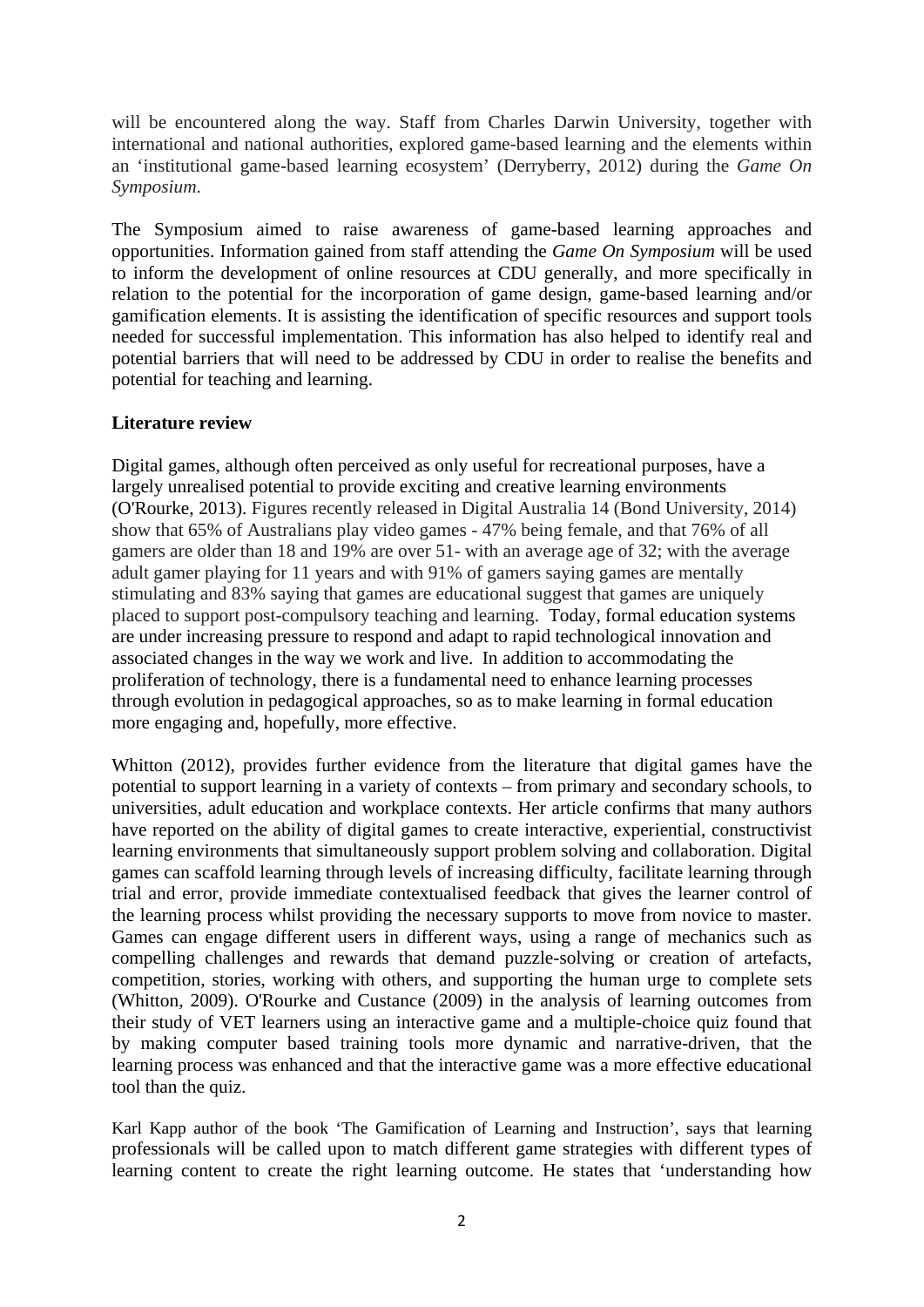will be encountered along the way. Staff from Charles Darwin University, together with international and national authorities, explored game-based learning and the elements within an 'institutional game-based learning ecosystem' (Derryberry, 2012) during the *Game On Symposium*.

The Symposium aimed to raise awareness of game-based learning approaches and opportunities. Information gained from staff attending the *Game On Symposium* will be used to inform the development of online resources at CDU generally, and more specifically in relation to the potential for the incorporation of game design, game-based learning and/or gamification elements. It is assisting the identification of specific resources and support tools needed for successful implementation. This information has also helped to identify real and potential barriers that will need to be addressed by CDU in order to realise the benefits and potential for teaching and learning.

## **Literature review**

Digital games, although often perceived as only useful for recreational purposes, have a largely unrealised potential to provide exciting and creative learning environments (O'Rourke, 2013). Figures recently released in Digital Australia 14 (Bond University, 2014) show that 65% of Australians play video games - 47% being female, and that 76% of all gamers are older than 18 and 19% are over 51- with an average age of 32; with the average adult gamer playing for 11 years and with 91% of gamers saying games are mentally stimulating and 83% saying that games are educational suggest that games are uniquely placed to support post-compulsory teaching and learning. Today, formal education systems are under increasing pressure to respond and adapt to rapid technological innovation and associated changes in the way we work and live. In addition to accommodating the proliferation of technology, there is a fundamental need to enhance learning processes through evolution in pedagogical approaches, so as to make learning in formal education more engaging and, hopefully, more effective.

Whitton (2012), provides further evidence from the literature that digital games have the potential to support learning in a variety of contexts – from primary and secondary schools, to universities, adult education and workplace contexts. Her article confirms that many authors have reported on the ability of digital games to create interactive, experiential, constructivist learning environments that simultaneously support problem solving and collaboration. Digital games can scaffold learning through levels of increasing difficulty, facilitate learning through trial and error, provide immediate contextualised feedback that gives the learner control of the learning process whilst providing the necessary supports to move from novice to master. Games can engage different users in different ways, using a range of mechanics such as compelling challenges and rewards that demand puzzle-solving or creation of artefacts, competition, stories, working with others, and supporting the human urge to complete sets (Whitton, 2009). O'Rourke and Custance (2009) in the analysis of learning outcomes from their study of VET learners using an interactive game and a multiple-choice quiz found that by making computer based training tools more dynamic and narrative-driven, that the learning process was enhanced and that the interactive game was a more effective educational tool than the quiz.

Karl Kapp author of the book 'The Gamification of Learning and Instruction', says that learning professionals will be called upon to match different game strategies with different types of learning content to create the right learning outcome. He states that 'understanding how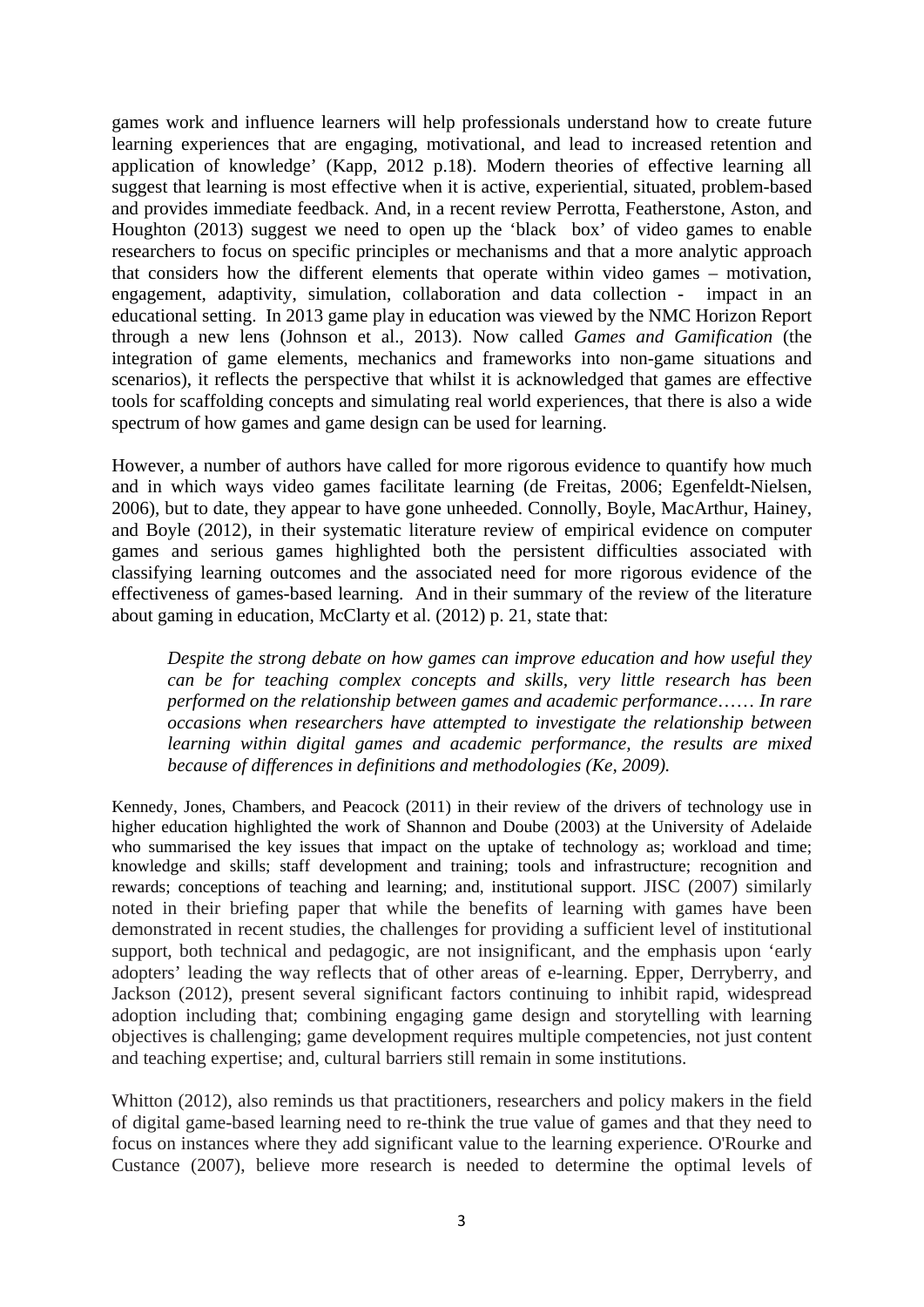games work and influence learners will help professionals understand how to create future learning experiences that are engaging, motivational, and lead to increased retention and application of knowledge' (Kapp, 2012 p.18). Modern theories of effective learning all suggest that learning is most effective when it is active, experiential, situated, problem-based and provides immediate feedback. And, in a recent review Perrotta, Featherstone, Aston, and Houghton (2013) suggest we need to open up the 'black box' of video games to enable researchers to focus on specific principles or mechanisms and that a more analytic approach that considers how the different elements that operate within video games – motivation, engagement, adaptivity, simulation, collaboration and data collection - impact in an educational setting. In 2013 game play in education was viewed by the NMC Horizon Report through a new lens (Johnson et al., 2013). Now called *Games and Gamification* (the integration of game elements, mechanics and frameworks into non-game situations and scenarios), it reflects the perspective that whilst it is acknowledged that games are effective tools for scaffolding concepts and simulating real world experiences, that there is also a wide spectrum of how games and game design can be used for learning.

However, a number of authors have called for more rigorous evidence to quantify how much and in which ways video games facilitate learning (de Freitas, 2006; Egenfeldt-Nielsen, 2006), but to date, they appear to have gone unheeded. Connolly, Boyle, MacArthur, Hainey, and Boyle (2012), in their systematic literature review of empirical evidence on computer games and serious games highlighted both the persistent difficulties associated with classifying learning outcomes and the associated need for more rigorous evidence of the effectiveness of games-based learning. And in their summary of the review of the literature about gaming in education, McClarty et al. (2012) p. 21, state that:

*Despite the strong debate on how games can improve education and how useful they can be for teaching complex concepts and skills, very little research has been performed on the relationship between games and academic performance*…… *In rare occasions when researchers have attempted to investigate the relationship between learning within digital games and academic performance, the results are mixed because of differences in definitions and methodologies (Ke, 2009).* 

Kennedy, Jones, Chambers, and Peacock (2011) in their review of the drivers of technology use in higher education highlighted the work of Shannon and Doube (2003) at the University of Adelaide who summarised the key issues that impact on the uptake of technology as; workload and time; knowledge and skills; staff development and training; tools and infrastructure; recognition and rewards; conceptions of teaching and learning; and, institutional support. JISC (2007) similarly noted in their briefing paper that while the benefits of learning with games have been demonstrated in recent studies, the challenges for providing a sufficient level of institutional support, both technical and pedagogic, are not insignificant, and the emphasis upon 'early adopters' leading the way reflects that of other areas of e-learning. Epper, Derryberry, and Jackson (2012), present several significant factors continuing to inhibit rapid, widespread adoption including that; combining engaging game design and storytelling with learning objectives is challenging; game development requires multiple competencies, not just content and teaching expertise; and, cultural barriers still remain in some institutions.

Whitton (2012), also reminds us that practitioners, researchers and policy makers in the field of digital game-based learning need to re-think the true value of games and that they need to focus on instances where they add significant value to the learning experience. O'Rourke and Custance (2007), believe more research is needed to determine the optimal levels of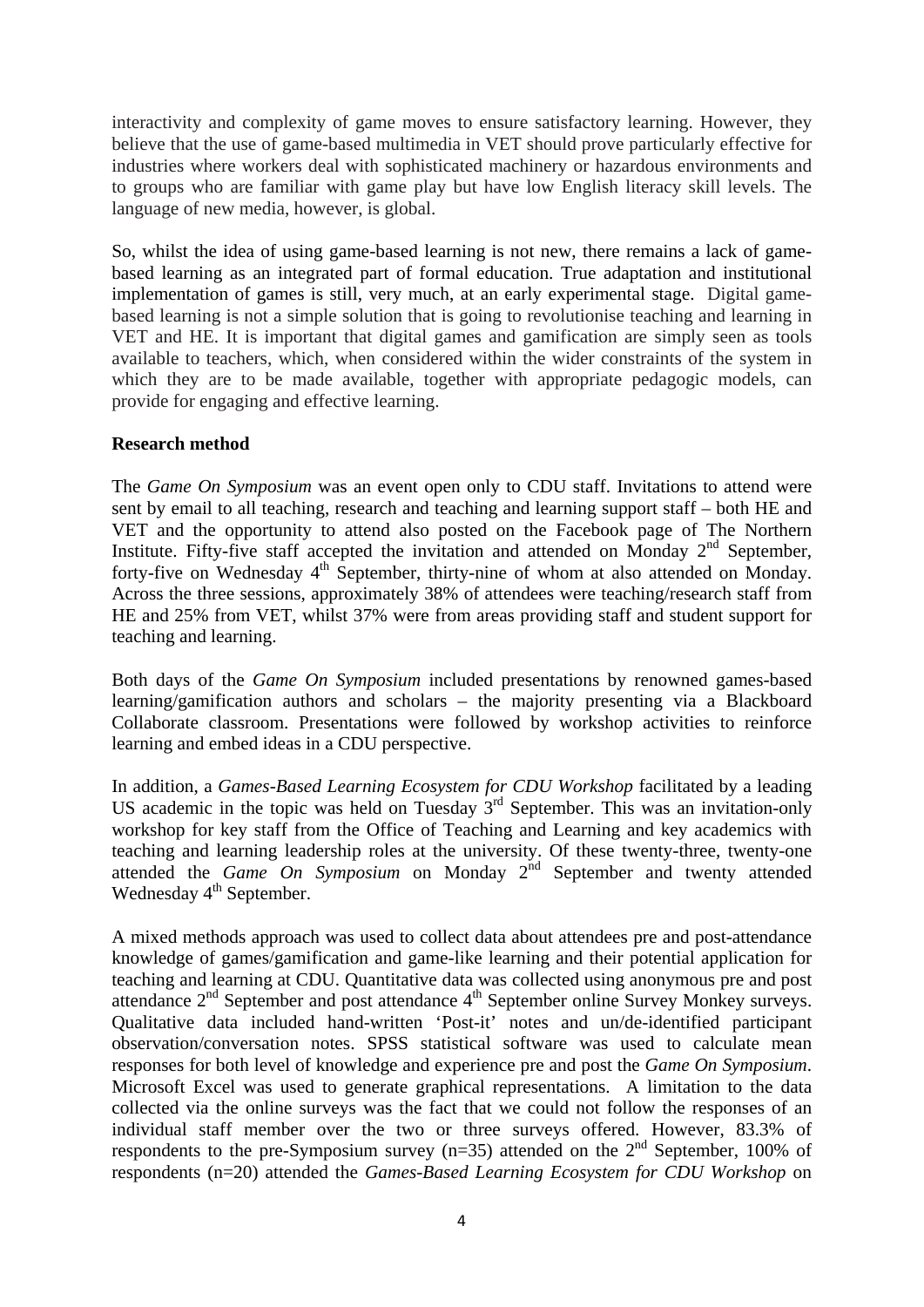interactivity and complexity of game moves to ensure satisfactory learning. However, they believe that the use of game-based multimedia in VET should prove particularly effective for industries where workers deal with sophisticated machinery or hazardous environments and to groups who are familiar with game play but have low English literacy skill levels. The language of new media, however, is global.

So, whilst the idea of using game-based learning is not new, there remains a lack of gamebased learning as an integrated part of formal education. True adaptation and institutional implementation of games is still, very much, at an early experimental stage. Digital gamebased learning is not a simple solution that is going to revolutionise teaching and learning in VET and HE. It is important that digital games and gamification are simply seen as tools available to teachers, which, when considered within the wider constraints of the system in which they are to be made available, together with appropriate pedagogic models, can provide for engaging and effective learning.

## **Research method**

The *Game On Symposium* was an event open only to CDU staff. Invitations to attend were sent by email to all teaching, research and teaching and learning support staff – both HE and VET and the opportunity to attend also posted on the Facebook page of The Northern Institute. Fifty-five staff accepted the invitation and attended on Monday  $2<sup>nd</sup>$  September, forty-five on Wednesday 4<sup>th</sup> September, thirty-nine of whom at also attended on Monday. Across the three sessions, approximately 38% of attendees were teaching/research staff from HE and 25% from VET, whilst 37% were from areas providing staff and student support for teaching and learning.

Both days of the *Game On Symposium* included presentations by renowned games-based learning/gamification authors and scholars – the majority presenting via a Blackboard Collaborate classroom. Presentations were followed by workshop activities to reinforce learning and embed ideas in a CDU perspective.

In addition, a *Games-Based Learning Ecosystem for CDU Workshop* facilitated by a leading US academic in the topic was held on Tuesday 3<sup>rd</sup> September. This was an invitation-only workshop for key staff from the Office of Teaching and Learning and key academics with teaching and learning leadership roles at the university. Of these twenty-three, twenty-one attended the *Game On Symposium* on Monday 2nd September and twenty attended Wednesday 4<sup>th</sup> September.

A mixed methods approach was used to collect data about attendees pre and post-attendance knowledge of games/gamification and game-like learning and their potential application for teaching and learning at CDU. Quantitative data was collected using anonymous pre and post attendance 2<sup>nd</sup> September and post attendance 4<sup>th</sup> September online Survey Monkey surveys. Qualitative data included hand-written 'Post-it' notes and un/de-identified participant observation/conversation notes. SPSS statistical software was used to calculate mean responses for both level of knowledge and experience pre and post the *Game On Symposium*. Microsoft Excel was used to generate graphical representations. A limitation to the data collected via the online surveys was the fact that we could not follow the responses of an individual staff member over the two or three surveys offered. However, 83.3% of respondents to the pre-Symposium survey  $(n=35)$  attended on the  $2<sup>nd</sup>$  September, 100% of respondents (n=20) attended the *Games-Based Learning Ecosystem for CDU Workshop* on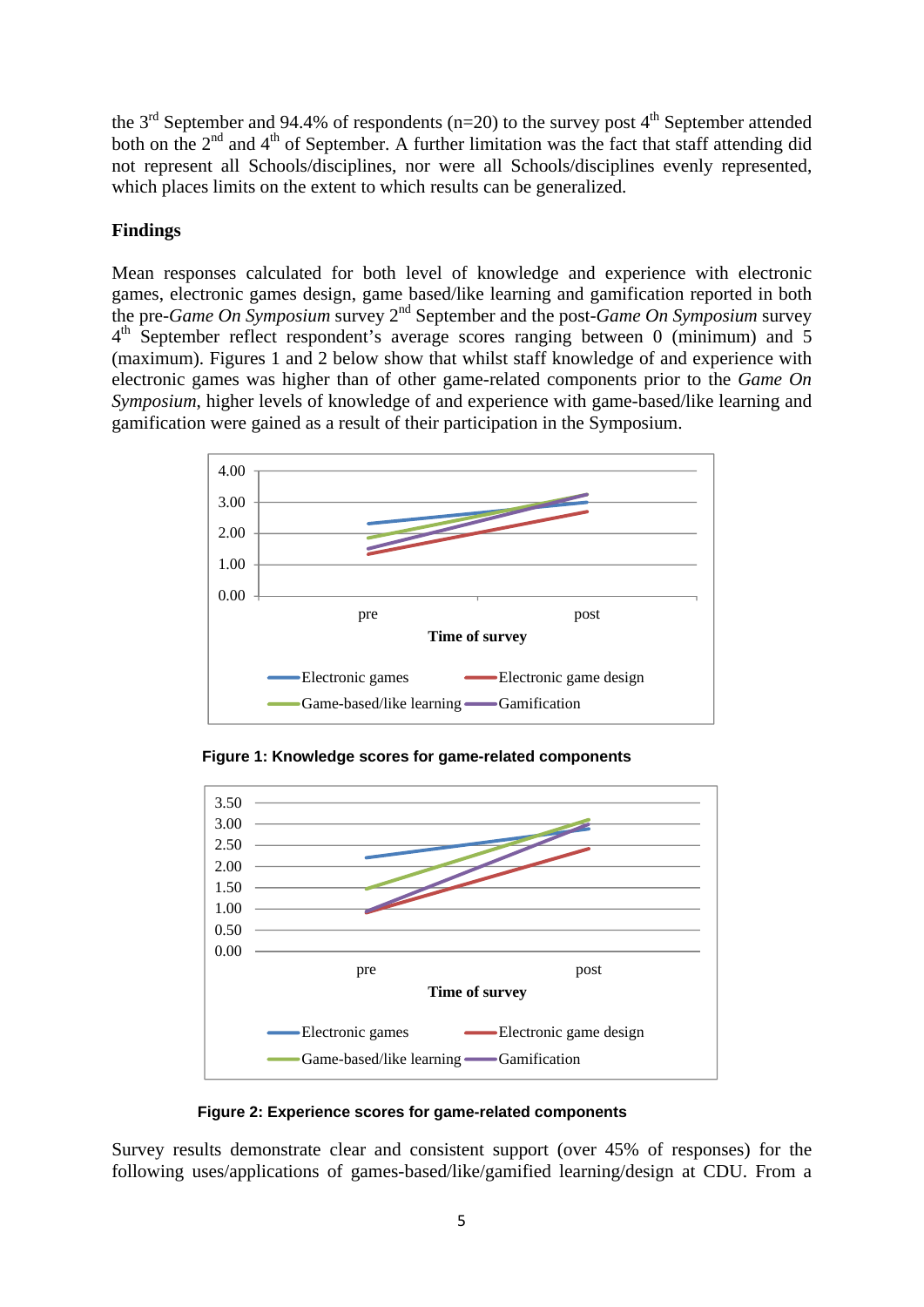the  $3<sup>rd</sup>$  September and 94.4% of respondents (n=20) to the survey post 4<sup>th</sup> September attended both on the 2<sup>nd</sup> and 4<sup>th</sup> of September. A further limitation was the fact that staff attending did not represent all Schools/disciplines, nor were all Schools/disciplines evenly represented, which places limits on the extent to which results can be generalized.

## **Findings**

Mean responses calculated for both level of knowledge and experience with electronic games, electronic games design, game based/like learning and gamification reported in both the pre-*Game On Symposium* survey 2nd September and the post-*Game On Symposium* survey 4<sup>th</sup> September reflect respondent's average scores ranging between 0 (minimum) and 5 (maximum). Figures 1 and 2 below show that whilst staff knowledge of and experience with electronic games was higher than of other game-related components prior to the *Game On Symposium*, higher levels of knowledge of and experience with game-based/like learning and gamification were gained as a result of their participation in the Symposium.



 **Figure 1: Knowledge scores for game-related components** 



 **Figure 2: Experience scores for game-related components** 

Survey results demonstrate clear and consistent support (over 45% of responses) for the following uses/applications of games-based/like/gamified learning/design at CDU. From a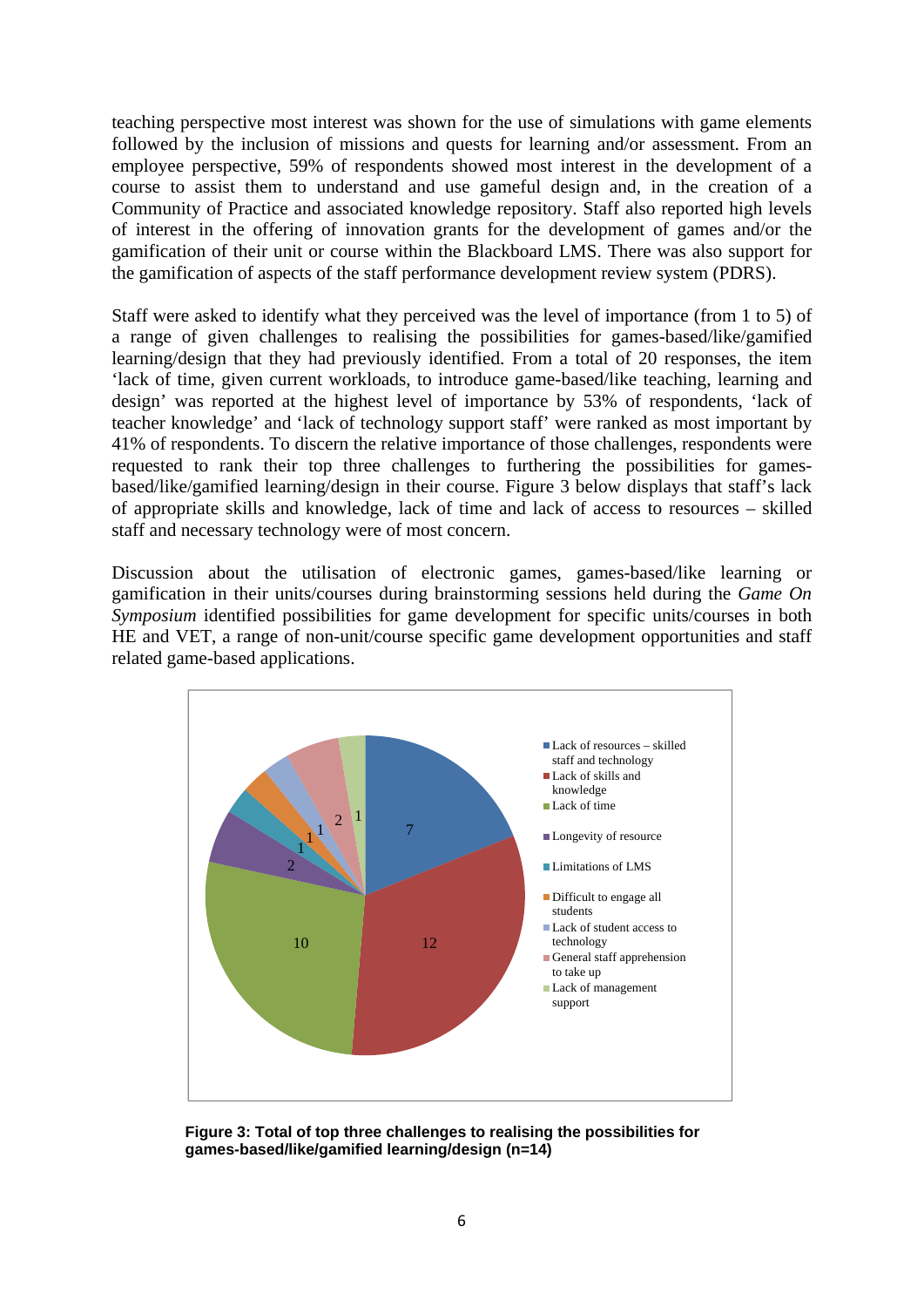teaching perspective most interest was shown for the use of simulations with game elements followed by the inclusion of missions and quests for learning and/or assessment. From an employee perspective, 59% of respondents showed most interest in the development of a course to assist them to understand and use gameful design and, in the creation of a Community of Practice and associated knowledge repository. Staff also reported high levels of interest in the offering of innovation grants for the development of games and/or the gamification of their unit or course within the Blackboard LMS. There was also support for the gamification of aspects of the staff performance development review system (PDRS).

Staff were asked to identify what they perceived was the level of importance (from 1 to 5) of a range of given challenges to realising the possibilities for games-based/like/gamified learning/design that they had previously identified. From a total of 20 responses, the item 'lack of time, given current workloads, to introduce game-based/like teaching, learning and design' was reported at the highest level of importance by 53% of respondents, 'lack of teacher knowledge' and 'lack of technology support staff' were ranked as most important by 41% of respondents. To discern the relative importance of those challenges, respondents were requested to rank their top three challenges to furthering the possibilities for gamesbased/like/gamified learning/design in their course. Figure 3 below displays that staff's lack of appropriate skills and knowledge, lack of time and lack of access to resources – skilled staff and necessary technology were of most concern.

Discussion about the utilisation of electronic games, games-based/like learning or gamification in their units/courses during brainstorming sessions held during the *Game On Symposium* identified possibilities for game development for specific units/courses in both HE and VET, a range of non-unit/course specific game development opportunities and staff related game-based applications.



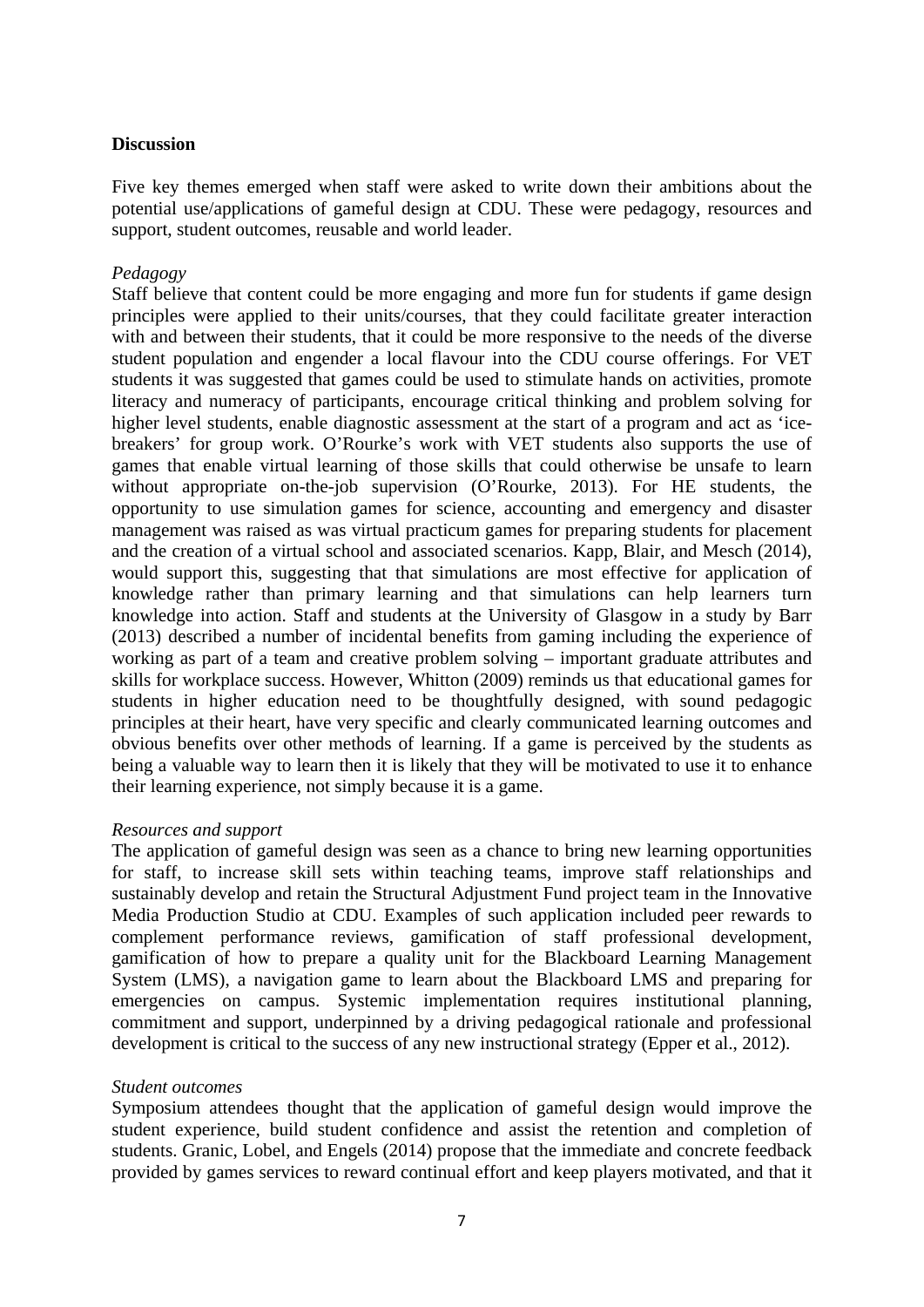### **Discussion**

Five key themes emerged when staff were asked to write down their ambitions about the potential use/applications of gameful design at CDU. These were pedagogy, resources and support, student outcomes, reusable and world leader.

### *Pedagogy*

Staff believe that content could be more engaging and more fun for students if game design principles were applied to their units/courses, that they could facilitate greater interaction with and between their students, that it could be more responsive to the needs of the diverse student population and engender a local flavour into the CDU course offerings. For VET students it was suggested that games could be used to stimulate hands on activities, promote literacy and numeracy of participants, encourage critical thinking and problem solving for higher level students, enable diagnostic assessment at the start of a program and act as 'icebreakers' for group work. O'Rourke's work with VET students also supports the use of games that enable virtual learning of those skills that could otherwise be unsafe to learn without appropriate on-the-job supervision (O'Rourke, 2013). For HE students, the opportunity to use simulation games for science, accounting and emergency and disaster management was raised as was virtual practicum games for preparing students for placement and the creation of a virtual school and associated scenarios. Kapp, Blair, and Mesch (2014), would support this, suggesting that that simulations are most effective for application of knowledge rather than primary learning and that simulations can help learners turn knowledge into action. Staff and students at the University of Glasgow in a study by Barr (2013) described a number of incidental benefits from gaming including the experience of working as part of a team and creative problem solving – important graduate attributes and skills for workplace success. However, Whitton (2009) reminds us that educational games for students in higher education need to be thoughtfully designed, with sound pedagogic principles at their heart, have very specific and clearly communicated learning outcomes and obvious benefits over other methods of learning. If a game is perceived by the students as being a valuable way to learn then it is likely that they will be motivated to use it to enhance their learning experience, not simply because it is a game.

#### *Resources and support*

The application of gameful design was seen as a chance to bring new learning opportunities for staff, to increase skill sets within teaching teams, improve staff relationships and sustainably develop and retain the Structural Adjustment Fund project team in the Innovative Media Production Studio at CDU. Examples of such application included peer rewards to complement performance reviews, gamification of staff professional development, gamification of how to prepare a quality unit for the Blackboard Learning Management System (LMS), a navigation game to learn about the Blackboard LMS and preparing for emergencies on campus. Systemic implementation requires institutional planning, commitment and support, underpinned by a driving pedagogical rationale and professional development is critical to the success of any new instructional strategy (Epper et al., 2012).

#### *Student outcomes*

Symposium attendees thought that the application of gameful design would improve the student experience, build student confidence and assist the retention and completion of students. Granic, Lobel, and Engels (2014) propose that the immediate and concrete feedback provided by games services to reward continual effort and keep players motivated, and that it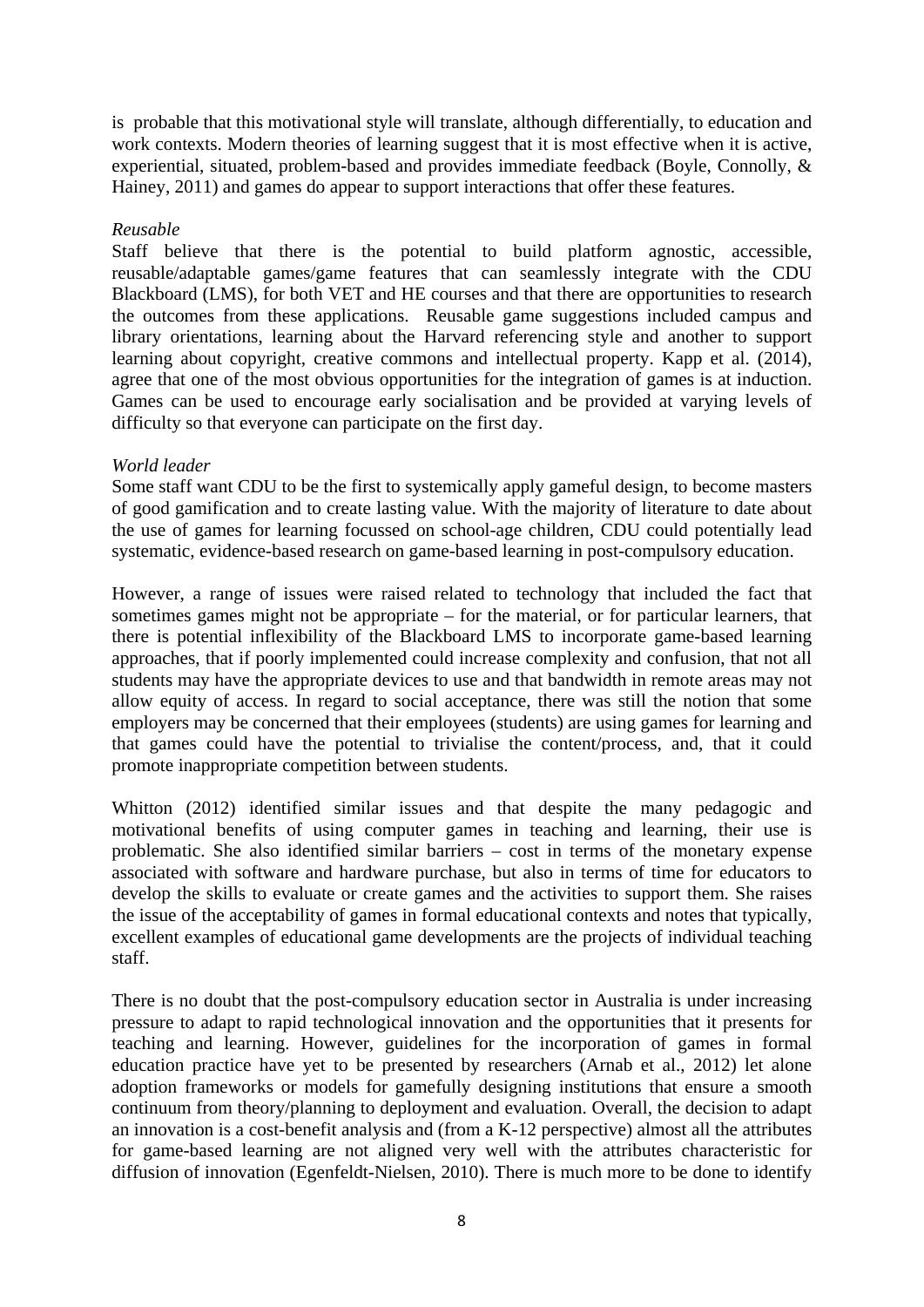is probable that this motivational style will translate, although differentially, to education and work contexts. Modern theories of learning suggest that it is most effective when it is active, experiential, situated, problem-based and provides immediate feedback (Boyle, Connolly, & Hainey, 2011) and games do appear to support interactions that offer these features.

### *Reusable*

Staff believe that there is the potential to build platform agnostic, accessible, reusable/adaptable games/game features that can seamlessly integrate with the CDU Blackboard (LMS), for both VET and HE courses and that there are opportunities to research the outcomes from these applications. Reusable game suggestions included campus and library orientations, learning about the Harvard referencing style and another to support learning about copyright, creative commons and intellectual property. Kapp et al. (2014), agree that one of the most obvious opportunities for the integration of games is at induction. Games can be used to encourage early socialisation and be provided at varying levels of difficulty so that everyone can participate on the first day.

## *World leader*

Some staff want CDU to be the first to systemically apply gameful design, to become masters of good gamification and to create lasting value. With the majority of literature to date about the use of games for learning focussed on school-age children, CDU could potentially lead systematic, evidence-based research on game-based learning in post-compulsory education.

However, a range of issues were raised related to technology that included the fact that sometimes games might not be appropriate – for the material, or for particular learners, that there is potential inflexibility of the Blackboard LMS to incorporate game-based learning approaches, that if poorly implemented could increase complexity and confusion, that not all students may have the appropriate devices to use and that bandwidth in remote areas may not allow equity of access. In regard to social acceptance, there was still the notion that some employers may be concerned that their employees (students) are using games for learning and that games could have the potential to trivialise the content/process, and, that it could promote inappropriate competition between students.

Whitton (2012) identified similar issues and that despite the many pedagogic and motivational benefits of using computer games in teaching and learning, their use is problematic. She also identified similar barriers – cost in terms of the monetary expense associated with software and hardware purchase, but also in terms of time for educators to develop the skills to evaluate or create games and the activities to support them. She raises the issue of the acceptability of games in formal educational contexts and notes that typically, excellent examples of educational game developments are the projects of individual teaching staff.

There is no doubt that the post-compulsory education sector in Australia is under increasing pressure to adapt to rapid technological innovation and the opportunities that it presents for teaching and learning. However, guidelines for the incorporation of games in formal education practice have yet to be presented by researchers (Arnab et al., 2012) let alone adoption frameworks or models for gamefully designing institutions that ensure a smooth continuum from theory/planning to deployment and evaluation. Overall, the decision to adapt an innovation is a cost-benefit analysis and (from a K-12 perspective) almost all the attributes for game-based learning are not aligned very well with the attributes characteristic for diffusion of innovation (Egenfeldt-Nielsen, 2010). There is much more to be done to identify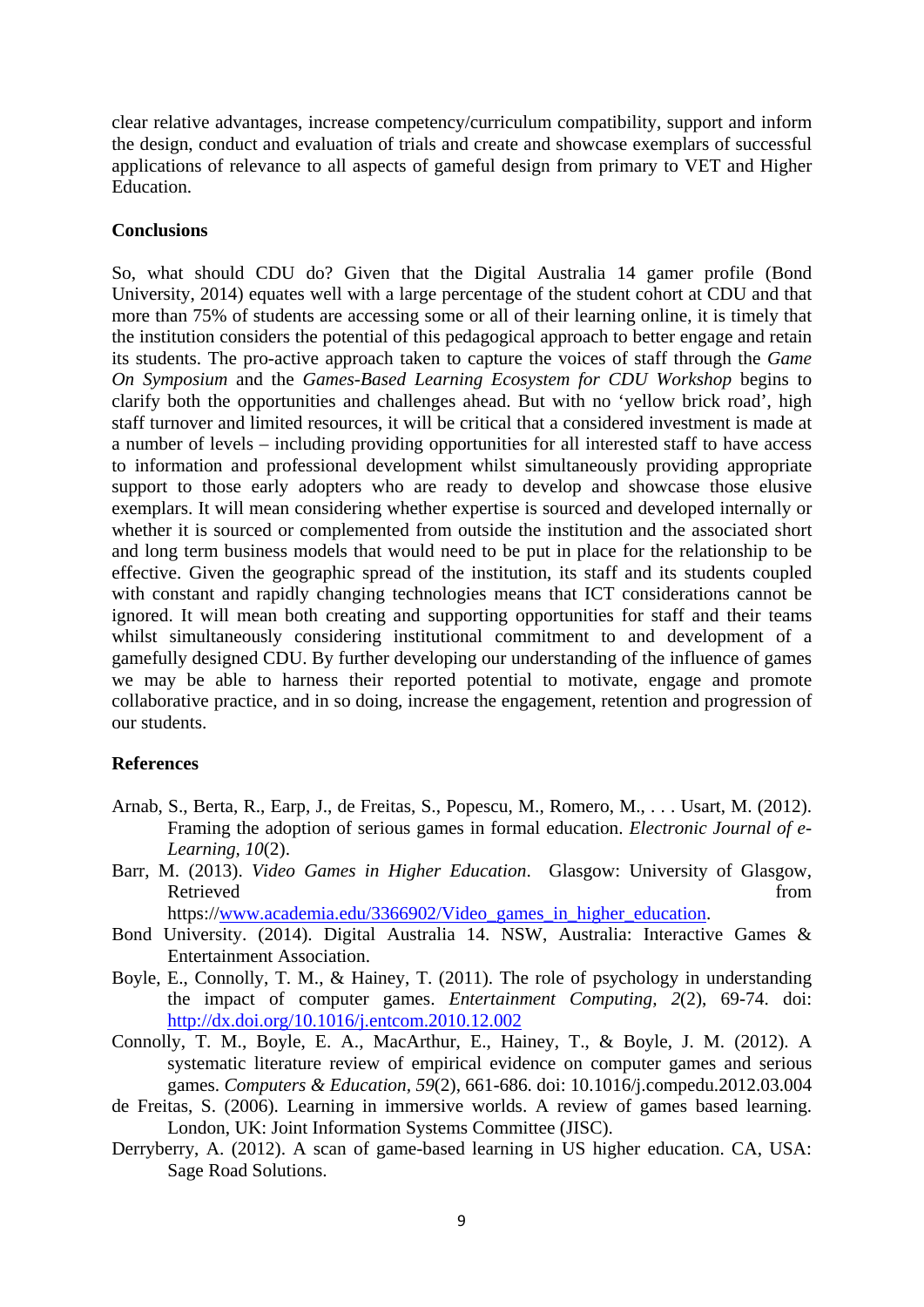clear relative advantages, increase competency/curriculum compatibility, support and inform the design, conduct and evaluation of trials and create and showcase exemplars of successful applications of relevance to all aspects of gameful design from primary to VET and Higher Education.

#### **Conclusions**

So, what should CDU do? Given that the Digital Australia 14 gamer profile (Bond University, 2014) equates well with a large percentage of the student cohort at CDU and that more than 75% of students are accessing some or all of their learning online, it is timely that the institution considers the potential of this pedagogical approach to better engage and retain its students. The pro-active approach taken to capture the voices of staff through the *Game On Symposium* and the *Games-Based Learning Ecosystem for CDU Workshop* begins to clarify both the opportunities and challenges ahead. But with no 'yellow brick road', high staff turnover and limited resources, it will be critical that a considered investment is made at a number of levels – including providing opportunities for all interested staff to have access to information and professional development whilst simultaneously providing appropriate support to those early adopters who are ready to develop and showcase those elusive exemplars. It will mean considering whether expertise is sourced and developed internally or whether it is sourced or complemented from outside the institution and the associated short and long term business models that would need to be put in place for the relationship to be effective. Given the geographic spread of the institution, its staff and its students coupled with constant and rapidly changing technologies means that ICT considerations cannot be ignored. It will mean both creating and supporting opportunities for staff and their teams whilst simultaneously considering institutional commitment to and development of a gamefully designed CDU. By further developing our understanding of the influence of games we may be able to harness their reported potential to motivate, engage and promote collaborative practice, and in so doing, increase the engagement, retention and progression of our students.

#### **References**

- Arnab, S., Berta, R., Earp, J., de Freitas, S., Popescu, M., Romero, M., . . . Usart, M. (2012). Framing the adoption of serious games in formal education. *Electronic Journal of e-Learning, 10*(2).
- Barr, M. (2013). *Video Games in Higher Education*. Glasgow: University of Glasgow, Retrieved from the state of the state of the state of the state of the state of the state of the state of the state of the state of the state of the state of the state of the state of the state of the state of the state of https://www.academia.edu/3366902/Video\_games\_in\_higher\_education.
- Bond University. (2014). Digital Australia 14. NSW, Australia: Interactive Games & Entertainment Association.
- Boyle, E., Connolly, T. M., & Hainey, T. (2011). The role of psychology in understanding the impact of computer games. *Entertainment Computing, 2*(2), 69-74. doi: http://dx.doi.org/10.1016/j.entcom.2010.12.002
- Connolly, T. M., Boyle, E. A., MacArthur, E., Hainey, T., & Boyle, J. M. (2012). A systematic literature review of empirical evidence on computer games and serious games. *Computers & Education, 59*(2), 661-686. doi: 10.1016/j.compedu.2012.03.004
- de Freitas, S. (2006). Learning in immersive worlds. A review of games based learning. London, UK: Joint Information Systems Committee (JISC).
- Derryberry, A. (2012). A scan of game-based learning in US higher education. CA, USA: Sage Road Solutions.